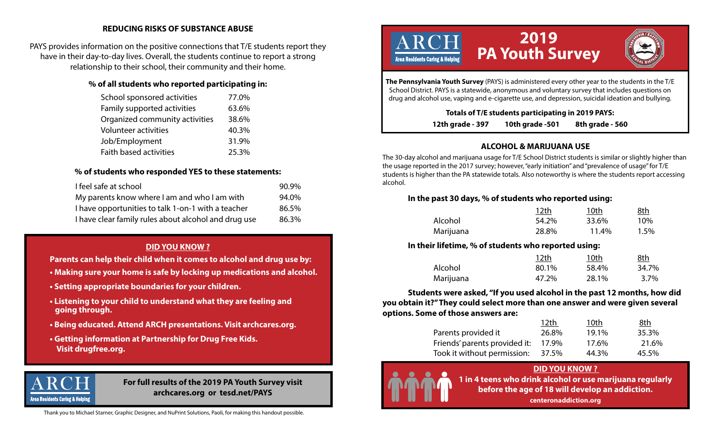### **REDUCING RISKS OF SUBSTANCE ABUSE**

PAYS provides information on the positive connections that T/E students report they have in their day-to-day lives. Overall, the students continue to report a strong relationship to their school, their community and their home.

#### **% of all students who reported participating in:**

| School sponsored activities    | 77.0% |
|--------------------------------|-------|
| Family supported activities    | 63.6% |
| Organized community activities | 38.6% |
| Volunteer activities           | 40.3% |
| Job/Employment                 | 31.9% |
| Faith based activities         | 25.3% |

### **% of students who responded YES to these statements:**

| I feel safe at school                                | 90.9% |
|------------------------------------------------------|-------|
| My parents know where I am and who I am with         | 94.0% |
| I have opportunities to talk 1-on-1 with a teacher   | 86.5% |
| I have clear family rules about alcohol and drug use | 86.3% |

# **DID YOU KNOW ?**

 **Parents can help their child when it comes to alcohol and drug use by:**

- **Making sure your home is safe by locking up medications and alcohol.**
- **Setting appropriate boundaries for your children.**
- **Listening to your child to understand what they are feeling and going through.**
- **Being educated. Attend ARCH presentations. Visit archcares.org.**
- **Getting information at Partnership for Drug Free Kids. Visit drugfree.org.**



#### **For full results of the 2019 PA Youth Survey visit archcares.org or tesd.net/PAYS**

Thank you to Michael Starner, Graphic Designer, and NuPrint Solutions, Paoli, for making this handout possible.



**The Pennsylvania Youth Survey** (PAYS) is administered every other year to the students in the T/E School District. PAYS is a statewide, anonymous and voluntary survey that includes questions on drug and alcohol use, vaping and e-cigarette use, and depression, suicidal ideation and bullying.

**Totals of T/E students participating in 2019 PAYS:**

**12th grade - 397 10th grade -501 8th grade - 560** 

# **ALCOHOL & MARIJUANA USE**

The 30-day alcohol and marijuana usage for T/E School District students is similar or slightly higher than the usage reported in the 2017 survey; however, "early initiation" and "prevalence of usage" for T/E students is higher than the PA statewide totals. Also noteworthy is where the students report accessing alcohol.

#### **In the past 30 days, % of students who reported using:**

|           | 12 <sub>th</sub> | 10th  | 8th  |
|-----------|------------------|-------|------|
| Alcohol   | 54.2%            | 33.6% | 10%  |
| Marijuana | 28.8%            | 11.4% | 1.5% |

# **In their lifetime, % of students who reported using:**

|           | 12th  | 10th  | <u>8th</u> |
|-----------|-------|-------|------------|
| Alcohol   | 80.1% | 58.4% | 34.7%      |
| Marijuana | 47.2% | 28.1% | $3.7\%$    |

 **Students were asked, "If you used alcohol in the past 12 months, how did you obtain it?" They could select more than one answer and were given several options. Some of those answers are:**

|                               | 12th  | 10th  | 8th   |
|-------------------------------|-------|-------|-------|
| Parents provided it           | 26.8% | 19.1% | 35.3% |
| Friends' parents provided it: | 17.9% | 17.6% | 21.6% |
| Took it without permission:   | 37.5% | 44.3% | 45.5% |

# **DID YOU KNOW ?**



**1 in 4 teens who drink alcohol or use marijuana regularly before the age of 18 will develop an addiction.**

**centeronaddiction.org**